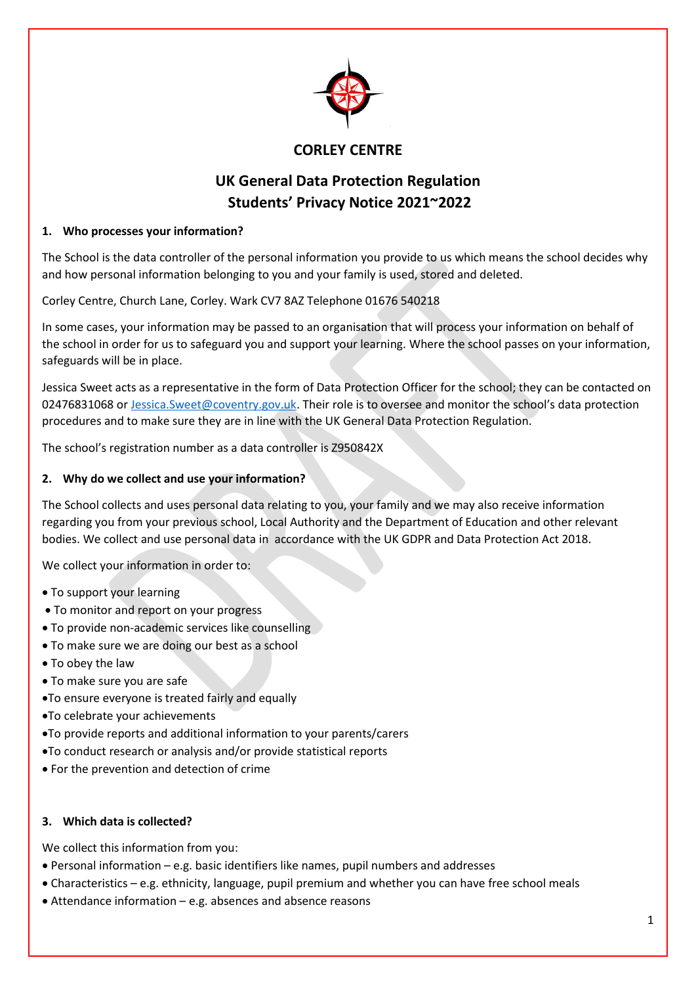

# **CORLEY CENTRE**

# **UK General Data Protection Regulation Students' Privacy Notice 2021~2022**

## **1. Who processes your information?**

The School is the data controller of the personal information you provide to us which means the school decides why and how personal information belonging to you and your family is used, stored and deleted.

Corley Centre, Church Lane, Corley. Wark CV7 8AZ Telephone 01676 540218

In some cases, your information may be passed to an organisation that will process your information on behalf of the school in order for us to safeguard you and support your learning. Where the school passes on your information, safeguards will be in place.

Jessica Sweet acts as a representative in the form of Data Protection Officer for the school; they can be contacted on 02476831068 or [Jessica.Sweet@coventry.gov.uk](mailto:Jessica.Sweet@coventry.gov.uk). Their role is to oversee and monitor the school's data protection procedures and to make sure they are in line with the UK General Data Protection Regulation.

The school's registration number as a data controller is Z950842X

## **2. Why do we collect and use your information?**

The School collects and uses personal data relating to you, your family and we may also receive information regarding you from your previous school, Local Authority and the Department of Education and other relevant bodies. We collect and use personal data in accordance with the UK GDPR and Data Protection Act 2018.

We collect your information in order to:

- To support your learning
- To monitor and report on your progress
- To provide non-academic services like counselling
- To make sure we are doing our best as a school
- To obey the law
- To make sure you are safe
- To ensure everyone is treated fairly and equally
- To celebrate your achievements
- To provide reports and additional information to your parents/carers
- To conduct research or analysis and/or provide statistical reports
- For the prevention and detection of crime

#### **3. Which data is collected?**

We collect this information from you:

- Personal information e.g. basic identifiers like names, pupil numbers and addresses
- Characteristics e.g. ethnicity, language, pupil premium and whether you can have free school meals
- Attendance information e.g. absences and absence reasons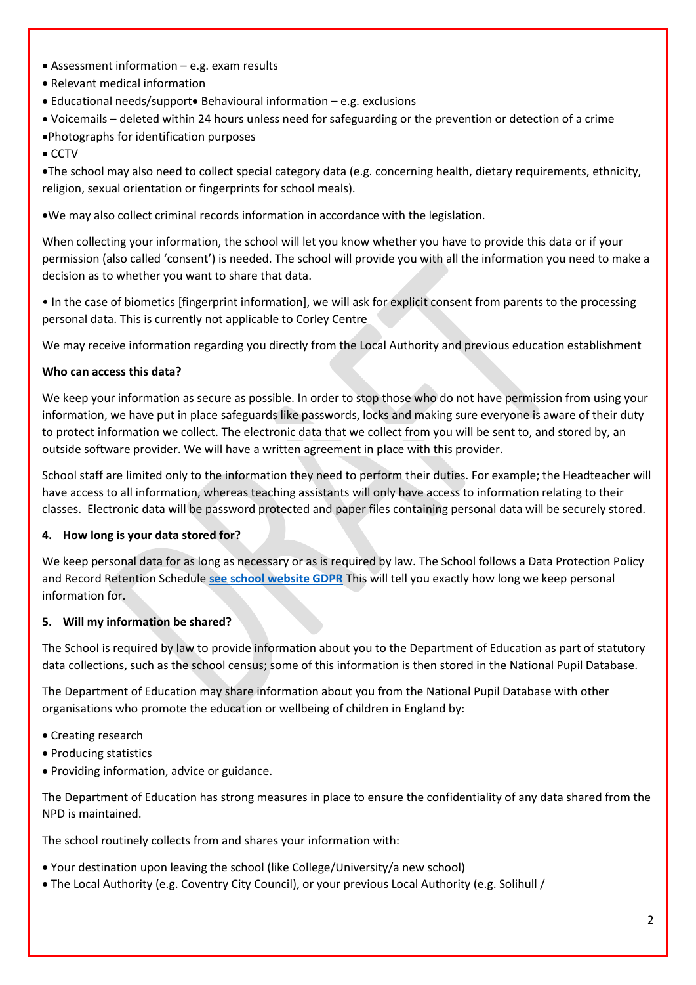- Assessment information e.g. exam results
- Relevant medical information
- $\bullet$  Educational needs/support $\bullet$  Behavioural information e.g. exclusions
- Voicemails deleted within 24 hours unless need for safeguarding or the prevention or detection of a crime
- Photographs for identification purposes
- $\bullet$  CCTV

The school may also need to collect special category data (e.g. concerning health, dietary requirements, ethnicity, religion, sexual orientation or fingerprints for school meals).

We may also collect criminal records information in accordance with the legislation.

When collecting your information, the school will let you know whether you have to provide this data or if your permission (also called 'consent') is needed. The school will provide you with all the information you need to make a decision as to whether you want to share that data.

• In the case of biometics [fingerprint information], we will ask for explicit consent from parents to the processing personal data. This is currently not applicable to Corley Centre

We may receive information regarding you directly from the Local Authority and previous education establishment

## **Who can access this data?**

We keep your information as secure as possible. In order to stop those who do not have permission from using your information, we have put in place safeguards like passwords, locks and making sure everyone is aware of their duty to protect information we collect. The electronic data that we collect from you will be sent to, and stored by, an outside software provider. We will have a written agreement in place with this provider.

School staff are limited only to the information they need to perform their duties. For example; the Headteacher will have access to all information, whereas teaching assistants will only have access to information relating to their classes. Electronic data will be password protected and paper files containing personal data will be securely stored.

#### **4. How long is your data stored for?**

We keep personal data for as long as necessary or as is required by law. The School follows a Data Protection Policy and Record Retention Schedule **[see school website GDPR](http://corleycentre.co.uk/test-2/)** This will tell you exactly how long we keep personal information for.

#### **5. Will my information be shared?**

The School is required by law to provide information about you to the Department of Education as part of statutory data collections, such as the school census; some of this information is then stored in the National Pupil Database.

The Department of Education may share information about you from the National Pupil Database with other organisations who promote the education or wellbeing of children in England by:

- Creating research
- Producing statistics
- Providing information, advice or guidance.

The Department of Education has strong measures in place to ensure the confidentiality of any data shared from the NPD is maintained.

The school routinely collects from and shares your information with:

- Your destination upon leaving the school (like College/University/a new school)
- The Local Authority (e.g. Coventry City Council), or your previous Local Authority (e.g. Solihull /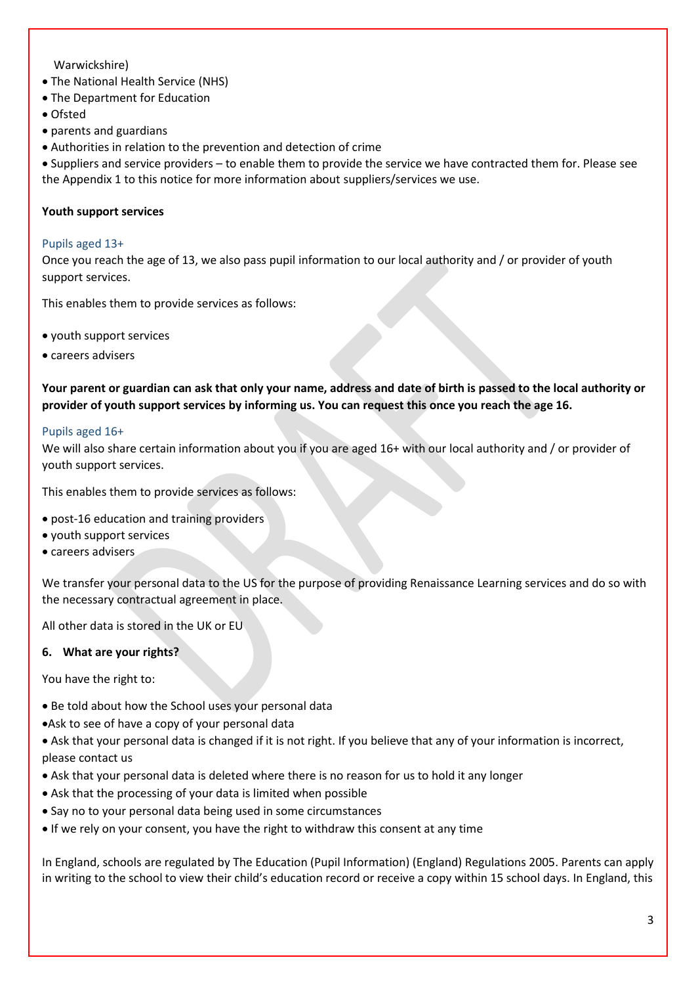#### Warwickshire)

- The National Health Service (NHS)
- The Department for Education
- Ofsted
- parents and guardians
- Authorities in relation to the prevention and detection of crime

 Suppliers and service providers – to enable them to provide the service we have contracted them for. Please see the Appendix 1 to this notice for more information about suppliers/services we use.

#### **Youth support services**

#### Pupils aged 13+

Once you reach the age of 13, we also pass pupil information to our local authority and / or provider of youth support services.

This enables them to provide services as follows:

- youth support services
- careers advisers

**Your parent or guardian can ask that only your name, address and date of birth is passed to the local authority or provider of youth support services by informing us. You can request this once you reach the age 16.** 

#### Pupils aged 16+

We will also share certain information about you if you are aged 16+ with our local authority and / or provider of youth support services.

This enables them to provide services as follows:

- post-16 education and training providers
- youth support services
- careers advisers

We transfer your personal data to the US for the purpose of providing Renaissance Learning services and do so with the necessary contractual agreement in place.

All other data is stored in the UK or EU

#### **6. What are your rights?**

You have the right to:

- Be told about how the School uses your personal data
- Ask to see of have a copy of your personal data
- Ask that your personal data is changed if it is not right. If you believe that any of your information is incorrect, please contact us
- Ask that your personal data is deleted where there is no reason for us to hold it any longer
- Ask that the processing of your data is limited when possible
- Say no to your personal data being used in some circumstances
- If we rely on your consent, you have the right to withdraw this consent at any time

In England, schools are regulated by The Education (Pupil Information) (England) Regulations 2005. Parents can apply in writing to the school to view their child's education record or receive a copy within 15 school days. In England, this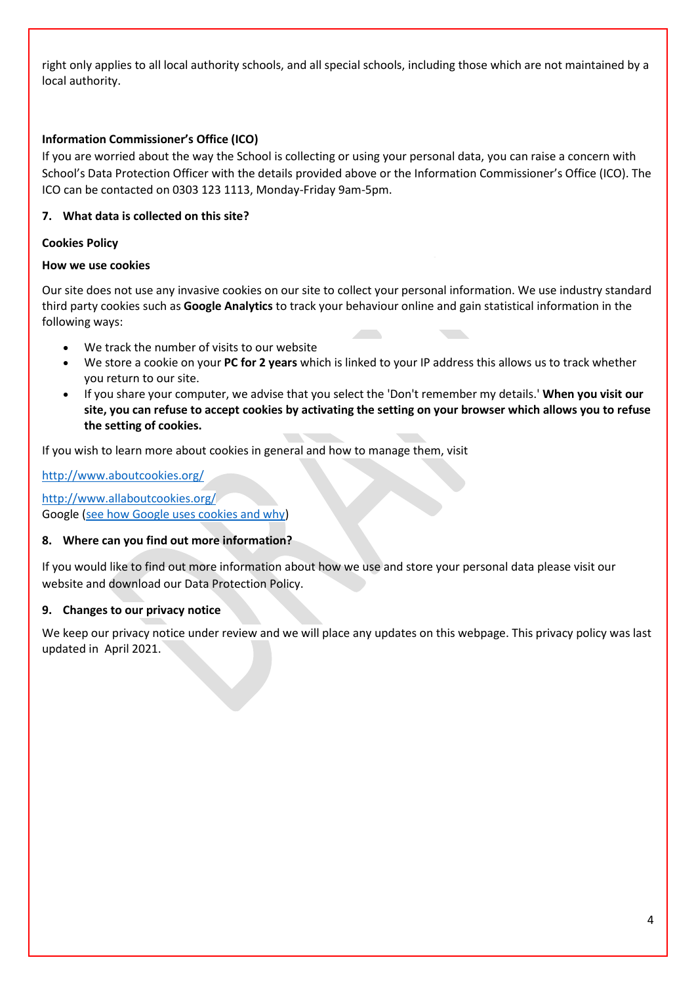right only applies to all local authority schools, and all special schools, including those which are not maintained by a local authority.

#### **Information Commissioner's Office (ICO)**

If you are worried about the way the School is collecting or using your personal data, you can raise a concern with School's Data Protection Officer with the details provided above or the Information Commissioner's Office (ICO). The ICO can be contacted on 0303 123 1113, Monday-Friday 9am-5pm.

## **7. What data is collected on this site?**

#### **Cookies Policy**

#### **How we use cookies**

Our site does not use any invasive cookies on our site to collect your personal information. We use industry standard third party cookies such as **Google Analytics** to track your behaviour online and gain statistical information in the following ways:

- We track the number of visits to our website
- We store a cookie on your **PC for 2 years** which is linked to your IP address this allows us to track whether you return to our site.
- If you share your computer, we advise that you select the 'Don't remember my details.' **When you visit our site, you can refuse to accept cookies by activating the setting on your browser which allows you to refuse the setting of cookies.**

If you wish to learn more about cookies in general and how to manage them, visit

<http://www.aboutcookies.org/>

<http://www.allaboutcookies.org/> Google [\(see how Google uses cookies and why\)](http://code.google.com/apis/analytics/docs/concepts/gaConceptsCookies.html)

#### **8. Where can you find out more information?**

If you would like to find out more information about how we use and store your personal data please visit our website and download our Data Protection Policy.

#### **9. Changes to our privacy notice**

We keep our privacy notice under review and we will place any updates on this webpage. This privacy policy was last updated in April 2021.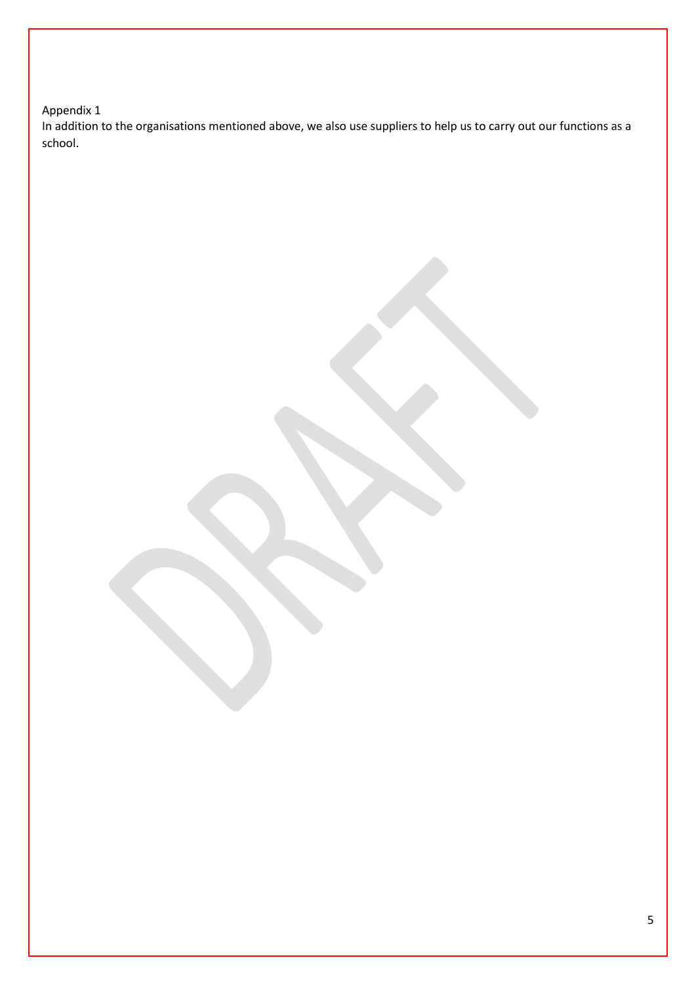# Appendix 1

In addition to the organisations mentioned above, we also use suppliers to help us to carry out our functions as a school.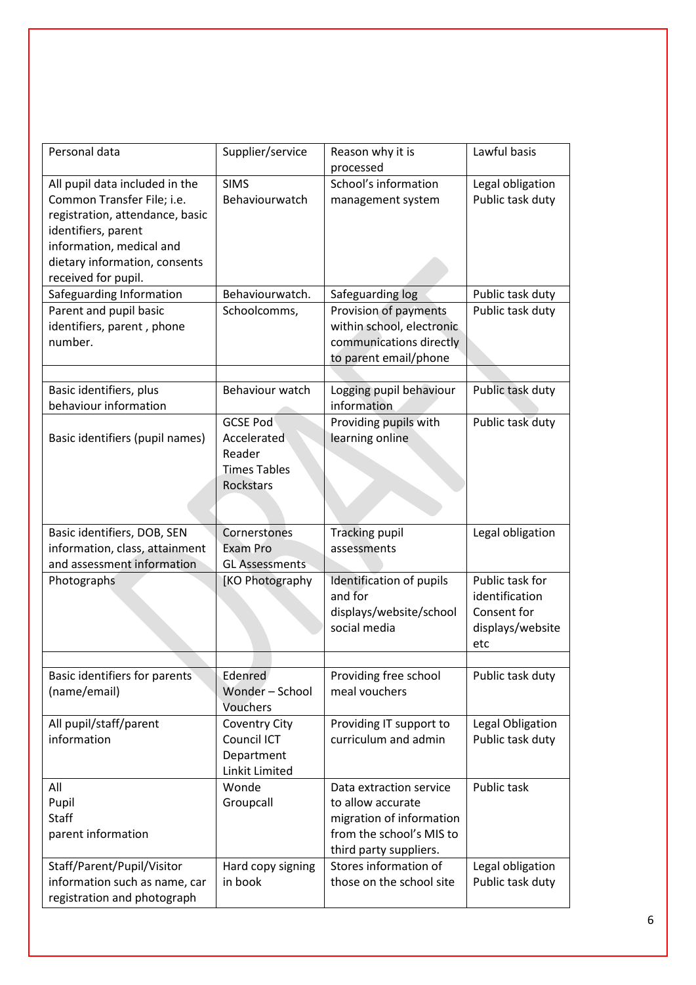| Personal data                                                                                                                                                                                              | Supplier/service                                                             | Reason why it is<br>processed                                                                                                  | Lawful basis                                                                |
|------------------------------------------------------------------------------------------------------------------------------------------------------------------------------------------------------------|------------------------------------------------------------------------------|--------------------------------------------------------------------------------------------------------------------------------|-----------------------------------------------------------------------------|
| All pupil data included in the<br>Common Transfer File; i.e.<br>registration, attendance, basic<br>identifiers, parent<br>information, medical and<br>dietary information, consents<br>received for pupil. | <b>SIMS</b><br>Behaviourwatch                                                | School's information<br>management system                                                                                      | Legal obligation<br>Public task duty                                        |
| Safeguarding Information                                                                                                                                                                                   | Behaviourwatch.                                                              | Safeguarding log                                                                                                               | Public task duty                                                            |
| Parent and pupil basic<br>identifiers, parent, phone<br>number.                                                                                                                                            | Schoolcomms,                                                                 | Provision of payments<br>within school, electronic<br>communications directly<br>to parent email/phone                         | Public task duty                                                            |
|                                                                                                                                                                                                            |                                                                              |                                                                                                                                |                                                                             |
| Basic identifiers, plus<br>behaviour information                                                                                                                                                           | Behaviour watch                                                              | Logging pupil behaviour<br>information                                                                                         | Public task duty                                                            |
| Basic identifiers (pupil names)                                                                                                                                                                            | <b>GCSE Pod</b><br>Accelerated<br>Reader<br><b>Times Tables</b><br>Rockstars | Providing pupils with<br>learning online                                                                                       | Public task duty                                                            |
| Basic identifiers, DOB, SEN<br>information, class, attainment<br>and assessment information                                                                                                                | Cornerstones<br>Exam Pro<br><b>GL Assessments</b>                            | <b>Tracking pupil</b><br>assessments                                                                                           | Legal obligation                                                            |
| Photographs                                                                                                                                                                                                | [KO Photography                                                              | Identification of pupils<br>and for<br>displays/website/school<br>social media                                                 | Public task for<br>identification<br>Consent for<br>displays/website<br>etc |
| Basic identifiers for parents<br>(name/email)                                                                                                                                                              | Edenred<br>Wonder - School                                                   | Providing free school<br>meal vouchers                                                                                         | Public task duty                                                            |
|                                                                                                                                                                                                            | Vouchers                                                                     |                                                                                                                                |                                                                             |
| All pupil/staff/parent<br>information                                                                                                                                                                      | <b>Coventry City</b><br>Council ICT<br>Department<br>Linkit Limited          | Providing IT support to<br>curriculum and admin                                                                                | Legal Obligation<br>Public task duty                                        |
| All<br>Pupil<br><b>Staff</b><br>parent information                                                                                                                                                         | Wonde<br>Groupcall                                                           | Data extraction service<br>to allow accurate<br>migration of information<br>from the school's MIS to<br>third party suppliers. | Public task                                                                 |
| Staff/Parent/Pupil/Visitor                                                                                                                                                                                 |                                                                              |                                                                                                                                |                                                                             |